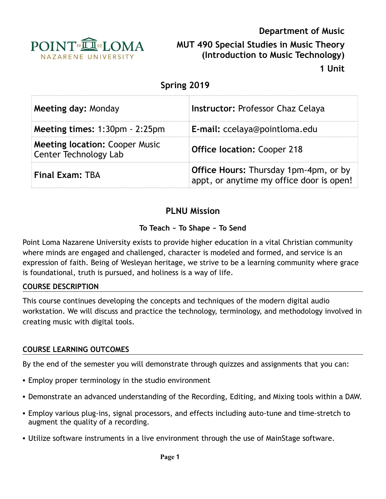

**Department of Music MUT 490 Special Studies in Music Theory (Introduction to Music Technology)** 

**1 Unit**

| Spring 2019                                                           |                                                                                          |  |  |
|-----------------------------------------------------------------------|------------------------------------------------------------------------------------------|--|--|
| Meeting day: Monday                                                   | <b>Instructor: Professor Chaz Celaya</b>                                                 |  |  |
| Meeting times: 1:30pm - 2:25pm                                        | E-mail: ccelaya@pointloma.edu                                                            |  |  |
| <b>Meeting location: Cooper Music</b><br><b>Center Technology Lab</b> | <b>Office location: Cooper 218</b>                                                       |  |  |
| <b>Final Exam: TBA</b>                                                | <b>Office Hours:</b> Thursday 1pm-4pm, or by<br>appt, or anytime my office door is open! |  |  |

# **PLNU Mission**

### **To Teach ~ To Shape ~ To Send**

Point Loma Nazarene University exists to provide higher education in a vital Christian community where minds are engaged and challenged, character is modeled and formed, and service is an expression of faith. Being of Wesleyan heritage, we strive to be a learning community where grace is foundational, truth is pursued, and holiness is a way of life.

#### **COURSE DESCRIPTION**

This course continues developing the concepts and techniques of the modern digital audio workstation. We will discuss and practice the technology, terminology, and methodology involved in creating music with digital tools.

### **COURSE LEARNING OUTCOMES**

By the end of the semester you will demonstrate through quizzes and assignments that you can:

- Employ proper terminology in the studio environment
- Demonstrate an advanced understanding of the Recording, Editing, and Mixing tools within a DAW.
- Employ various plug-ins, signal processors, and effects including auto-tune and time-stretch to augment the quality of a recording.
- Utilize software instruments in a live environment through the use of MainStage software.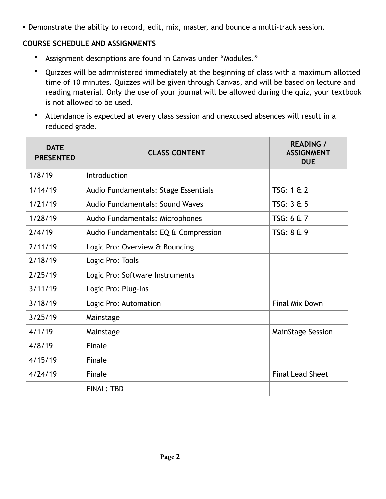• Demonstrate the ability to record, edit, mix, master, and bounce a multi-track session.

### **COURSE SCHEDULE AND ASSIGNMENTS**

- Assignment descriptions are found in Canvas under "Modules."
- Quizzes will be administered immediately at the beginning of class with a maximum allotted time of 10 minutes. Quizzes will be given through Canvas, and will be based on lecture and reading material. Only the use of your journal will be allowed during the quiz, your textbook is not allowed to be used.
- Attendance is expected at every class session and unexcused absences will result in a reduced grade.

| <b>DATE</b><br><b>PRESENTED</b> | <b>CLASS CONTENT</b>                 | <b>READING /</b><br><b>ASSIGNMENT</b><br><b>DUE</b> |
|---------------------------------|--------------------------------------|-----------------------------------------------------|
| 1/8/19                          | Introduction                         |                                                     |
| 1/14/19                         | Audio Fundamentals: Stage Essentials | TSG: 1 & 2                                          |
| 1/21/19                         | Audio Fundamentals: Sound Waves      | TSG: 3 & 5                                          |
| 1/28/19                         | Audio Fundamentals: Microphones      | TSG: 6 & 7                                          |
| 2/4/19                          | Audio Fundamentals: EQ & Compression | TSG: 8 & 9                                          |
| 2/11/19                         | Logic Pro: Overview & Bouncing       |                                                     |
| 2/18/19                         | Logic Pro: Tools                     |                                                     |
| 2/25/19                         | Logic Pro: Software Instruments      |                                                     |
| 3/11/19                         | Logic Pro: Plug-Ins                  |                                                     |
| 3/18/19                         | Logic Pro: Automation                | <b>Final Mix Down</b>                               |
| 3/25/19                         | Mainstage                            |                                                     |
| 4/1/19                          | Mainstage                            | MainStage Session                                   |
| 4/8/19                          | Finale                               |                                                     |
| 4/15/19                         | Finale                               |                                                     |
| 4/24/19                         | <b>Finale</b>                        | <b>Final Lead Sheet</b>                             |
|                                 | <b>FINAL: TBD</b>                    |                                                     |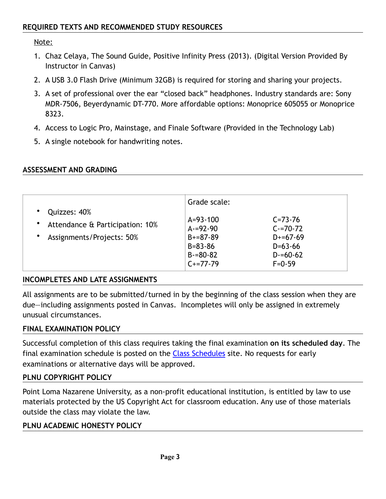Note:

- 1. Chaz Celaya, The Sound Guide, Positive Infinity Press (2013). (Digital Version Provided By Instructor in Canvas)
- 2. A USB 3.0 Flash Drive (Minimum 32GB) is required for storing and sharing your projects.
- 3. A set of professional over the ear "closed back" headphones. Industry standards are: Sony MDR-7506, Beyerdynamic DT-770. More affordable options: Monoprice 605055 or Monoprice 8323.
- 4. Access to Logic Pro, Mainstage, and Finale Software (Provided in the Technology Lab)
- 5. A single notebook for handwriting notes.

#### **ASSESSMENT AND GRADING**

|                                                 | Grade scale:   |               |
|-------------------------------------------------|----------------|---------------|
| Quizzes: 40%<br>Attendance & Participation: 10% | $A = 93 - 100$ | $C = 73 - 76$ |
|                                                 | $A = 92 - 90$  | $C = 70 - 72$ |
| Assignments/Projects: 50%                       | $B+=87-89$     | $D+=67-69$    |
|                                                 | $B = 83 - 86$  | $D=63-66$     |
|                                                 | $B = 80 - 82$  | $D = 60 - 62$ |
|                                                 | $C+=77-79$     | $F = 0.59$    |

### **INCOMPLETES AND LATE ASSIGNMENTS**

All assignments are to be submitted/turned in by the beginning of the class session when they are due—including assignments posted in Canvas. Incompletes will only be assigned in extremely unusual circumstances.

#### **FINAL EXAMINATION POLICY**

Successful completion of this class requires taking the final examination **on its scheduled day**. The final examination schedule is posted on the [Class Schedules](http://www.pointloma.edu/experience/academics/class-schedules) site. No requests for early examinations or alternative days will be approved.

#### **PLNU COPYRIGHT POLICY**

Point Loma Nazarene University, as a non-profit educational institution, is entitled by law to use materials protected by the US Copyright Act for classroom education. Any use of those materials outside the class may violate the law.

#### **PLNU ACADEMIC HONESTY POLICY**